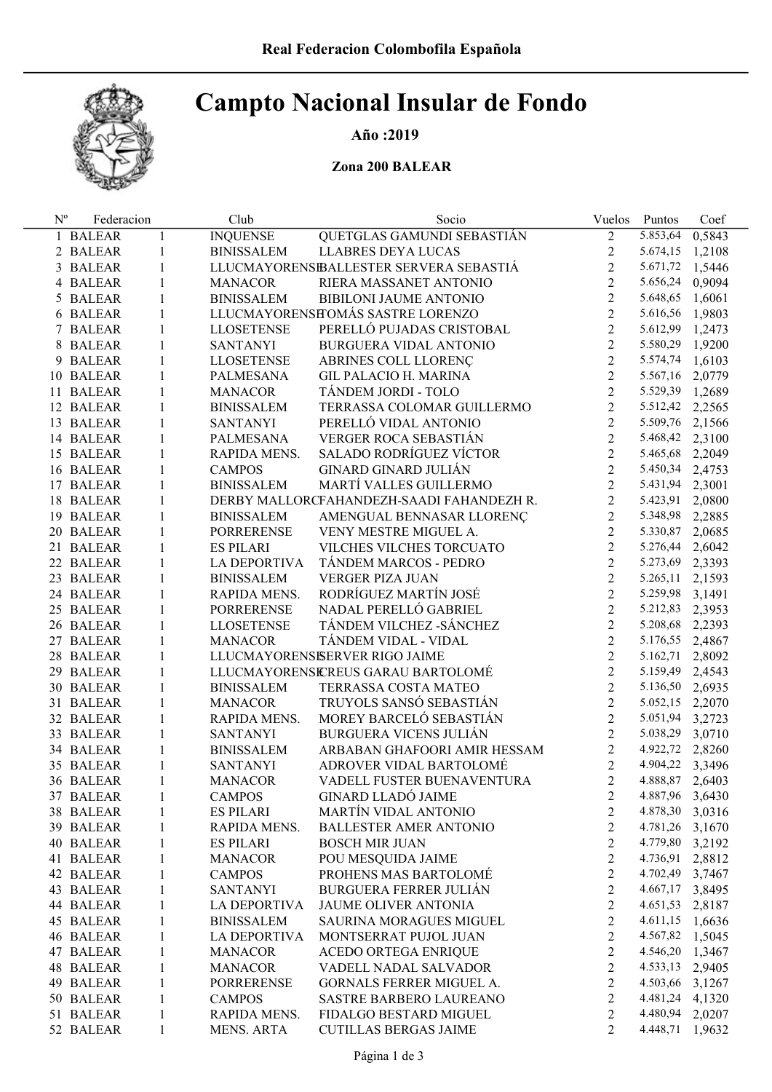# Campto Nacional Insular de Fondo

## Año :2019

## Zona 200 BALEAR

| $N^{\rm o}$ | Federacion |              | Club              | Socio                                     | Vuelos         | Puntos          | Coef   |
|-------------|------------|--------------|-------------------|-------------------------------------------|----------------|-----------------|--------|
|             | 1 BALEAR   | $\mathbf{1}$ | <b>INQUENSE</b>   | QUETGLAS GAMUNDI SEBASTIÁN                | $\overline{2}$ | 5.853,64        | 0,5843 |
|             | 2 BALEAR   | $\mathbf{1}$ | <b>BINISSALEM</b> | LLABRES DEYA LUCAS                        | $\overline{2}$ | 5.674,15 1,2108 |        |
|             | 3 BALEAR   | $\mathbf{1}$ |                   | LLUCMAYORENSIBALLESTER SERVERA SEBASTIÁ   | $\overline{2}$ | 5.671,72 1,5446 |        |
|             | 4 BALEAR   | $\mathbf{1}$ | <b>MANACOR</b>    | RIERA MASSANET ANTONIO                    | $\overline{2}$ | 5.656,24 0,9094 |        |
|             | 5 BALEAR   | $\mathbf{1}$ | <b>BINISSALEM</b> | BIBILONI JAUME ANTONIO                    | $\overline{2}$ | 5.648,65 1,6061 |        |
|             | 6 BALEAR   | $\mathbf{1}$ |                   | LLUCMAYORENSETOMÁS SASTRE LORENZO         | $\overline{2}$ | 5.616,56 1,9803 |        |
|             | 7 BALEAR   | $\mathbf{1}$ | <b>LLOSETENSE</b> | PERELLÓ PUJADAS CRISTOBAL                 | $\overline{2}$ | 5.612,99 1,2473 |        |
|             | 8 BALEAR   | $\mathbf{1}$ | <b>SANTANYI</b>   | BURGUERA VIDAL ANTONIO                    | $\overline{2}$ | 5.580,29 1,9200 |        |
|             | 9 BALEAR   | $\mathbf{1}$ | <b>LLOSETENSE</b> | ABRINES COLL LLORENÇ                      | $\overline{2}$ | 5.574,74 1,6103 |        |
|             | 10 BALEAR  | $\mathbf{1}$ | PALMESANA         | <b>GIL PALACIO H. MARINA</b>              | $\overline{2}$ | 5.567,16 2,0779 |        |
|             | 11 BALEAR  | $\mathbf{1}$ | <b>MANACOR</b>    | TÁNDEM JORDI - TOLO                       | $\overline{2}$ | 5.529,39 1,2689 |        |
|             | 12 BALEAR  | $\mathbf{1}$ | <b>BINISSALEM</b> | TERRASSA COLOMAR GUILLERMO                | $\overline{2}$ | 5.512,42 2,2565 |        |
|             | 13 BALEAR  | $\mathbf{1}$ | <b>SANTANYI</b>   | PERELLÓ VIDAL ANTONIO                     | $\overline{2}$ | 5.509,76 2,1566 |        |
|             | 14 BALEAR  | $\mathbf{1}$ | PALMESANA         | VERGER ROCA SEBASTIÁN                     | $\overline{2}$ | 5.468,42 2,3100 |        |
|             | 15 BALEAR  | $\mathbf{1}$ | RAPIDA MENS.      | SALADO RODRÍGUEZ VÍCTOR                   | $\overline{2}$ | 5.465,68 2,2049 |        |
|             | 16 BALEAR  | $\mathbf{1}$ | <b>CAMPOS</b>     | <b>GINARD GINARD JULIÁN</b>               | $\overline{2}$ | 5.450,34 2,4753 |        |
|             | 17 BALEAR  | $\mathbf{1}$ | <b>BINISSALEM</b> | MARTÍ VALLES GUILLERMO                    | $\overline{2}$ | 5.431,94 2,3001 |        |
|             | 18 BALEAR  | $\mathbf{1}$ |                   | DERBY MALLORCFAHANDEZH-SAADI FAHANDEZH R. | $\overline{2}$ | 5.423,91 2,0800 |        |
|             | 19 BALEAR  | $\mathbf{1}$ | <b>BINISSALEM</b> | AMENGUAL BENNASAR LLORENÇ                 | $\overline{2}$ | 5.348,98 2,2885 |        |
|             | 20 BALEAR  | $\mathbf{1}$ | PORRERENSE        | VENY MESTRE MIGUEL A.                     | $\overline{2}$ | 5.330,87 2,0685 |        |
|             | 21 BALEAR  | $\mathbf{1}$ | <b>ES PILARI</b>  | VILCHES VILCHES TORCUATO                  | $\overline{2}$ | 5.276,44 2,6042 |        |
|             | 22 BALEAR  | $\mathbf{1}$ | LA DEPORTIVA      | TÁNDEM MARCOS - PEDRO                     | $\overline{2}$ | 5.273,69 2,3393 |        |
|             | 23 BALEAR  | $\mathbf{1}$ | <b>BINISSALEM</b> | <b>VERGER PIZA JUAN</b>                   | $\overline{2}$ | 5.265,11 2,1593 |        |
|             | 24 BALEAR  | $\mathbf{1}$ | RAPIDA MENS.      | RODRÍGUEZ MARTÍN JOSÉ                     | $\overline{2}$ | 5.259,98 3,1491 |        |
|             | 25 BALEAR  | $\mathbf{1}$ | PORRERENSE        | NADAL PERELLÓ GABRIEL                     | $\overline{2}$ | 5.212,83 2,3953 |        |
|             | 26 BALEAR  | $\mathbf{1}$ | LLOSETENSE        | TÁNDEM VILCHEZ - SÁNCHEZ                  | $\overline{2}$ | 5.208,68 2,2393 |        |
|             | 27 BALEAR  | $\mathbf{1}$ | <b>MANACOR</b>    | TÁNDEM VIDAL - VIDAL                      | $\overline{2}$ | 5.176,55 2,4867 |        |
|             | 28 BALEAR  | $\mathbf{1}$ |                   | LLUCMAYORENSISERVER RIGO JAIME            | $\overline{2}$ | 5.162,71 2,8092 |        |
|             | 29 BALEAR  | $\mathbf{1}$ |                   | LLUCMAYORENSEREUS GARAU BARTOLOMÉ         | $\overline{2}$ | 5.159,49 2,4543 |        |
|             | 30 BALEAR  | $\mathbf{1}$ | <b>BINISSALEM</b> | TERRASSA COSTA MATEO                      | $\overline{2}$ | 5.136,50 2,6935 |        |
|             | 31 BALEAR  | $\mathbf{1}$ | <b>MANACOR</b>    | TRUYOLS SANSÓ SEBASTIÁN                   | $\overline{2}$ | 5.052,15 2,2070 |        |
|             | 32 BALEAR  | $\mathbf{1}$ | RAPIDA MENS.      | MOREY BARCELÓ SEBASTIÁN                   | $\overline{2}$ | 5.051,94 3,2723 |        |
|             | 33 BALEAR  | $\mathbf{1}$ | <b>SANTANYI</b>   | <b>BURGUERA VICENS JULIÁN</b>             | $\overline{2}$ | 5.038,29 3,0710 |        |
|             | 34 BALEAR  | $\mathbf{1}$ | <b>BINISSALEM</b> | ARBABAN GHAFOORI AMIR HESSAM              | $\overline{2}$ | 4.922,72 2,8260 |        |
|             | 35 BALEAR  | $\mathbf{1}$ | SANTANYI          | ADROVER VIDAL BARTOLOMÉ                   | $\overline{2}$ | 4.904,22 3,3496 |        |
|             | 36 BALEAR  | $\mathbf{1}$ | <b>MANACOR</b>    | VADELL FUSTER BUENAVENTURA                | $\overline{2}$ | 4.888,87 2,6403 |        |
|             | 37 BALEAR  | 1            | <b>CAMPOS</b>     | <b>GINARD LLADÓ JAIME</b>                 | $\overline{c}$ | 4.887,96 3,6430 |        |
|             | 38 BALEAR  | 1            | <b>ES PILARI</b>  | MARTÍN VIDAL ANTONIO                      | 2              | 4.878,30 3,0316 |        |
|             | 39 BALEAR  | 1            | RAPIDA MENS.      | <b>BALLESTER AMER ANTONIO</b>             | $\overline{2}$ | 4.781,26 3,1670 |        |
|             | 40 BALEAR  | 1            | <b>ES PILARI</b>  | <b>BOSCH MIR JUAN</b>                     | $\overline{2}$ | 4.779,80 3,2192 |        |
|             | 41 BALEAR  | 1            | <b>MANACOR</b>    | POU MESQUIDA JAIME                        | $\overline{2}$ | 4.736,91 2,8812 |        |
|             | 42 BALEAR  | 1            | <b>CAMPOS</b>     | PROHENS MAS BARTOLOMÉ                     | $\overline{2}$ | 4.702,49 3,7467 |        |
|             | 43 BALEAR  | 1            | <b>SANTANYI</b>   | <b>BURGUERA FERRER JULIÁN</b>             | $\overline{2}$ | 4.667,17 3,8495 |        |
|             | 44 BALEAR  | 1            | LA DEPORTIVA      | JAUME OLIVER ANTONIA                      | $\overline{2}$ | 4.651,53 2,8187 |        |
|             | 45 BALEAR  | $\mathbf{1}$ | <b>BINISSALEM</b> | <b>SAURINA MORAGUES MIGUEL</b>            | $\overline{2}$ | 4.611,15 1,6636 |        |
|             | 46 BALEAR  | 1            | LA DEPORTIVA      | MONTSERRAT PUJOL JUAN                     | $\overline{2}$ | 4.567,82 1,5045 |        |
|             | 47 BALEAR  | 1            | <b>MANACOR</b>    | ACEDO ORTEGA ENRIQUE                      | $\overline{2}$ | 4.546,20 1,3467 |        |
|             | 48 BALEAR  | 1            | <b>MANACOR</b>    | VADELL NADAL SALVADOR                     | $\overline{2}$ | 4.533,13 2,9405 |        |
|             | 49 BALEAR  | 1            | <b>PORRERENSE</b> | GORNALS FERRER MIGUEL A.                  | $\overline{2}$ | 4.503,66 3,1267 |        |
|             | 50 BALEAR  | 1            | <b>CAMPOS</b>     | SASTRE BARBERO LAUREANO                   | 2              | 4.481,24 4,1320 |        |
|             | 51 BALEAR  | 1            | RAPIDA MENS.      | FIDALGO BESTARD MIGUEL                    | 2              | 4.480,94 2,0207 |        |
|             | 52 BALEAR  | 1            | <b>MENS. ARTA</b> | <b>CUTILLAS BERGAS JAIME</b>              | 2              | 4.448,71 1,9632 |        |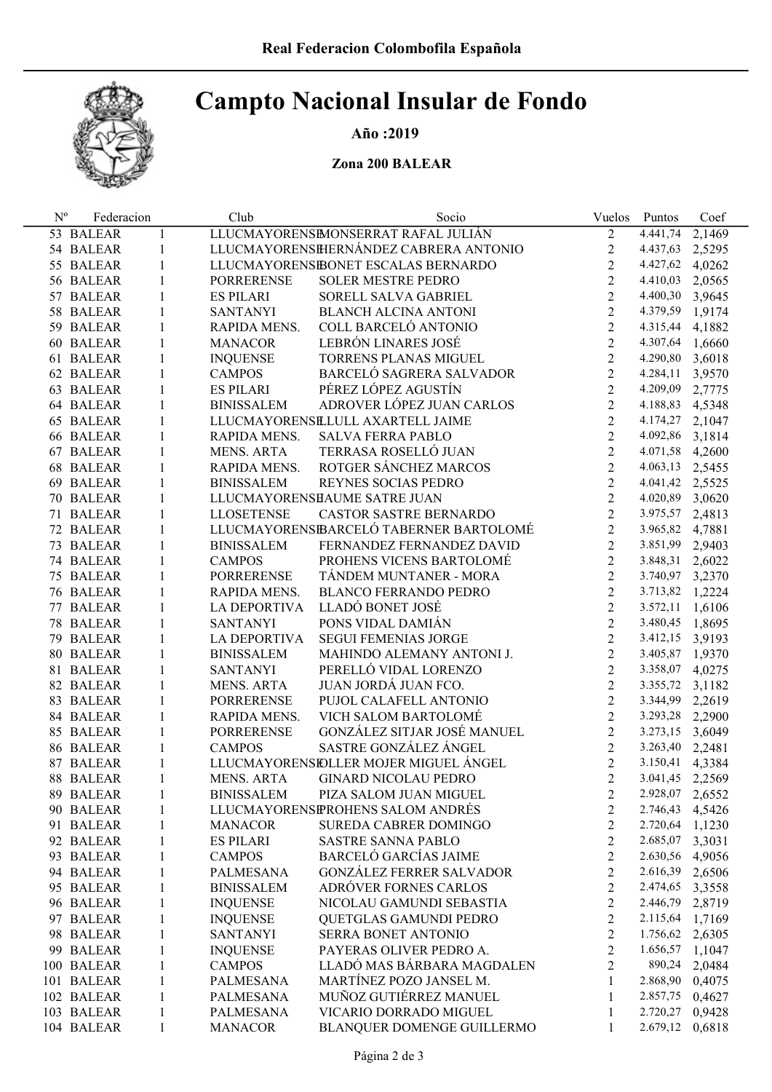# Campto Nacional Insular de Fondo

## Año :2019

### Zona 200 BALEAR

| $N^{\rm o}$ | Federacion |              | Club              | Socio                                   | Vuelos         | Puntos            | Coef          |
|-------------|------------|--------------|-------------------|-----------------------------------------|----------------|-------------------|---------------|
|             | 53 BALEAR  | 1            |                   | LLUCMAYORENSIMONSERRAT RAFAL JULIÁN     | $\overline{2}$ | $\sqrt{4.441,74}$ | 2,1469        |
|             | 54 BALEAR  | 1            |                   | LLUCMAYORENSIHERNÁNDEZ CABRERA ANTONIO  | $\overline{2}$ | 4.437,63 2,5295   |               |
|             | 55 BALEAR  | 1            |                   | LLUCMAYORENSIBONET ESCALAS BERNARDO     | $\overline{2}$ | 4.427,62 4,0262   |               |
|             | 56 BALEAR  | 1            | <b>PORRERENSE</b> | <b>SOLER MESTRE PEDRO</b>               | $\overline{2}$ | 4.410,03          | 2,0565        |
|             | 57 BALEAR  | 1            | <b>ES PILARI</b>  | SORELL SALVA GABRIEL                    | $\overline{2}$ | 4.400,30 3,9645   |               |
|             | 58 BALEAR  | 1            | <b>SANTANYI</b>   | <b>BLANCH ALCINA ANTONI</b>             | $\overline{2}$ | 4.379,59 1,9174   |               |
|             | 59 BALEAR  | $\mathbf{1}$ | RAPIDA MENS.      | COLL BARCELÓ ANTONIO                    | $\overline{2}$ | 4.315,44 4,1882   |               |
|             | 60 BALEAR  | $\mathbf{1}$ | <b>MANACOR</b>    | LEBRÓN LINARES JOSÉ                     | $\overline{2}$ | 4.307,64 1,6660   |               |
|             | 61 BALEAR  | $\mathbf{1}$ | <b>INQUENSE</b>   | TORRENS PLANAS MIGUEL                   | $\overline{2}$ | 4.290,80 3,6018   |               |
|             | 62 BALEAR  | 1            | <b>CAMPOS</b>     | BARCELÓ SAGRERA SALVADOR                | $\overline{2}$ | 4.284,11          | 3,9570        |
|             | 63 BALEAR  | 1            | <b>ES PILARI</b>  | PÉREZ LÓPEZ AGUSTÍN                     | $\overline{2}$ | 4.209,09 2,7775   |               |
|             | 64 BALEAR  | $\mathbf{1}$ | <b>BINISSALEM</b> | ADROVER LÓPEZ JUAN CARLOS               | $\overline{2}$ | 4.188,83 4,5348   |               |
|             | 65 BALEAR  | $\mathbf{1}$ |                   | LLUCMAYORENSELULL AXARTELL JAIME        | $\overline{2}$ | 4.174,27 2,1047   |               |
|             | 66 BALEAR  | $\mathbf{1}$ | RAPIDA MENS.      | <b>SALVA FERRA PABLO</b>                | $\overline{2}$ | 4.092,86 3,1814   |               |
|             | 67 BALEAR  | $\mathbf{1}$ | MENS. ARTA        | TERRASA ROSELLÓ JUAN                    | $\overline{2}$ | 4.071,58 4,2600   |               |
|             | 68 BALEAR  | $\mathbf{1}$ | RAPIDA MENS.      | ROTGER SÁNCHEZ MARCOS                   | $\overline{2}$ | 4.063,13 2,5455   |               |
|             | 69 BALEAR  | $\mathbf{1}$ | <b>BINISSALEM</b> | REYNES SOCIAS PEDRO                     | $\overline{2}$ | 4.041,42 2,5525   |               |
|             | 70 BALEAR  | $\mathbf{1}$ |                   | LLUCMAYORENSHAUME SATRE JUAN            | $\overline{2}$ | 4.020,89 3,0620   |               |
|             | 71 BALEAR  | 1            | <b>LLOSETENSE</b> | CASTOR SASTRE BERNARDO                  | $\overline{2}$ | 3.975,57 2,4813   |               |
|             | 72 BALEAR  | 1            |                   | LLUCMAYORENSEBARCELÓ TABERNER BARTOLOMÉ | $\overline{2}$ | 3.965,82 4,7881   |               |
|             | 73 BALEAR  | 1            | <b>BINISSALEM</b> | FERNANDEZ FERNANDEZ DAVID               | $\overline{2}$ | 3.851,99 2,9403   |               |
|             | 74 BALEAR  | 1            | <b>CAMPOS</b>     | PROHENS VICENS BARTOLOMÉ                | $\overline{2}$ | 3.848,31 2,6022   |               |
|             | 75 BALEAR  | $\mathbf{1}$ | <b>PORRERENSE</b> | TÁNDEM MUNTANER - MORA                  | $\overline{2}$ | 3.740,97 3,2370   |               |
|             | 76 BALEAR  | $\mathbf{1}$ | RAPIDA MENS.      | <b>BLANCO FERRANDO PEDRO</b>            | $\overline{2}$ | 3.713,82 1,2224   |               |
|             | 77 BALEAR  | 1            | LA DEPORTIVA      | LLADÓ BONET JOSÉ                        | $\overline{2}$ | 3.572,11 1,6106   |               |
|             | 78 BALEAR  | $\mathbf{1}$ | <b>SANTANYI</b>   | PONS VIDAL DAMIÁN                       | $\overline{2}$ | 3.480,45 1,8695   |               |
|             | 79 BALEAR  | 1            | LA DEPORTIVA      | <b>SEGUI FEMENIAS JORGE</b>             | $\overline{2}$ | 3.412,15 3,9193   |               |
|             | 80 BALEAR  | $\mathbf{1}$ | <b>BINISSALEM</b> | MAHINDO ALEMANY ANTONI J.               | $\overline{2}$ | 3.405,87 1,9370   |               |
|             | 81 BALEAR  | 1            | <b>SANTANYI</b>   | PERELLÓ VIDAL LORENZO                   | $\overline{2}$ | 3.358,07 4,0275   |               |
|             | 82 BALEAR  | 1            | MENS. ARTA        | JUAN JORDÁ JUAN FCO.                    | $\overline{2}$ | 3.355,72 3,1182   |               |
|             | 83 BALEAR  | $\mathbf{1}$ | <b>PORRERENSE</b> | PUJOL CALAFELL ANTONIO                  | $\overline{2}$ | 3.344,99 2,2619   |               |
|             | 84 BALEAR  | 1            | RAPIDA MENS.      | VICH SALOM BARTOLOMÉ                    | $\overline{2}$ | 3.293,28 2,2900   |               |
|             | 85 BALEAR  | 1            | PORRERENSE        | GONZÁLEZ SITJAR JOSÉ MANUEL             | $\overline{2}$ | 3.273,15 3,6049   |               |
|             | 86 BALEAR  | 1            | <b>CAMPOS</b>     | SASTRE GONZÁLEZ ÁNGEL                   | $\overline{2}$ | 3.263,40 2,2481   |               |
|             | 87 BALEAR  | 1            |                   | LLUCMAYORENSIDLLER MOJER MIGUEL ÁNGEL   | $\overline{2}$ | 3.150,41 4,3384   |               |
|             | 88 BALEAR  | 1            | <b>MENS. ARTA</b> | <b>GINARD NICOLAU PEDRO</b>             | $\overline{2}$ | 3.041,45 2,2569   |               |
|             | 89 BALEAR  | 1            | <b>BINISSALEM</b> | PIZA SALOM JUAN MIGUEL                  | 2              | 2.928,07          | 2,6552        |
|             | 90 BALEAR  | 1            |                   | LLUCMAYORENSPROHENS SALOM ANDRÉS        | 2              | 2.746,43          | 4,5426        |
|             | 91 BALEAR  | 1            | <b>MANACOR</b>    | <b>SUREDA CABRER DOMINGO</b>            | $\overline{2}$ | 2.720,64          | 1,1230        |
|             | 92 BALEAR  | 1            | <b>ES PILARI</b>  | <b>SASTRE SANNA PABLO</b>               | $\overline{c}$ | 2.685,07 3,3031   |               |
|             | 93 BALEAR  | 1            | <b>CAMPOS</b>     | <b>BARCELÓ GARCÍAS JAIME</b>            | $\overline{2}$ | 2.630,56 4,9056   |               |
|             | 94 BALEAR  | 1            | <b>PALMESANA</b>  | <b>GONZÁLEZ FERRER SALVADOR</b>         | $\overline{2}$ | 2.616,39 2,6506   |               |
|             | 95 BALEAR  | 1            | <b>BINISSALEM</b> | ADRÓVER FORNES CARLOS                   | $\overline{2}$ | 2.474,65 3,3558   |               |
|             | 96 BALEAR  | 1            | <b>INQUENSE</b>   | NICOLAU GAMUNDI SEBASTIA                | $\overline{2}$ | 2.446,79 2,8719   |               |
|             | 97 BALEAR  | 1            | <b>INQUENSE</b>   | QUETGLAS GAMUNDI PEDRO                  | $\overline{2}$ | 2.115,64 1,7169   |               |
|             | 98 BALEAR  | 1            | <b>SANTANYI</b>   | <b>SERRA BONET ANTONIO</b>              | $\overline{c}$ | 1.756,62 2,6305   |               |
|             | 99 BALEAR  | 1            | <b>INQUENSE</b>   | PAYERAS OLIVER PEDRO A.                 | $\overline{2}$ | 1.656,57          | 1,1047        |
|             | 100 BALEAR | 1            | <b>CAMPOS</b>     | LLADÓ MAS BÁRBARA MAGDALEN              | $\overline{2}$ |                   | 890,24 2,0484 |
|             | 101 BALEAR | 1            | <b>PALMESANA</b>  | MARTÍNEZ POZO JANSEL M.                 | 1              | 2.868,90 0,4075   |               |
|             | 102 BALEAR | 1            | <b>PALMESANA</b>  | MUÑOZ GUTIÉRREZ MANUEL                  | 1              | 2.857,75          | 0,4627        |
|             | 103 BALEAR | 1            | <b>PALMESANA</b>  | VICARIO DORRADO MIGUEL                  | 1              | 2.720,27          | 0,9428        |
|             | 104 BALEAR | 1            | <b>MANACOR</b>    | BLANQUER DOMENGE GUILLERMO              | 1              | 2.679,12          | 0,6818        |